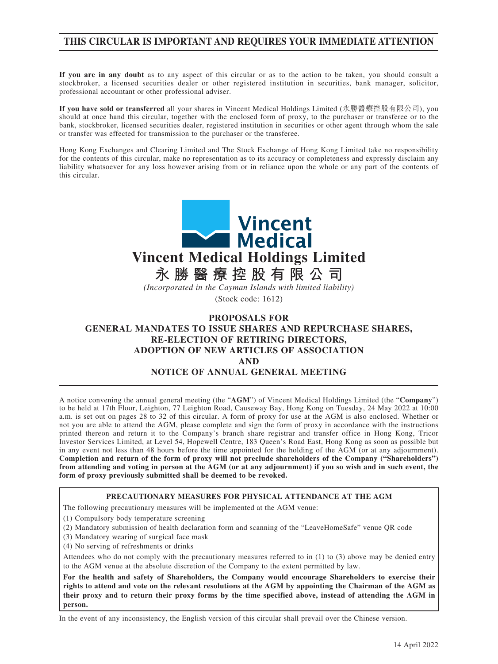## **THIS CIRCULAR IS IMPORTANT AND REQUIRES YOUR IMMEDIATE ATTENTION**

**If you are in any doubt** as to any aspect of this circular or as to the action to be taken, you should consult a stockbroker, a licensed securities dealer or other registered institution in securities, bank manager, solicitor, professional accountant or other professional adviser.

**If you have sold or transferred** all your shares in Vincent Medical Holdings Limited (永勝醫療控股有限公司), you should at once hand this circular, together with the enclosed form of proxy, to the purchaser or transferee or to the bank, stockbroker, licensed securities dealer, registered institution in securities or other agent through whom the sale or transfer was effected for transmission to the purchaser or the transferee.

Hong Kong Exchanges and Clearing Limited and The Stock Exchange of Hong Kong Limited take no responsibility for the contents of this circular, make no representation as to its accuracy or completeness and expressly disclaim any liability whatsoever for any loss however arising from or in reliance upon the whole or any part of the contents of this circular.



**AND**

## **NOTICE OF ANNUAL GENERAL MEETING**

A notice convening the annual general meeting (the "**AGM**") of Vincent Medical Holdings Limited (the "**Company**") to be held at 17th Floor, Leighton, 77 Leighton Road, Causeway Bay, Hong Kong on Tuesday, 24 May 2022 at 10:00 a.m. is set out on pages 28 to 32 of this circular. A form of proxy for use at the AGM is also enclosed. Whether or not you are able to attend the AGM, please complete and sign the form of proxy in accordance with the instructions printed thereon and return it to the Company's branch share registrar and transfer office in Hong Kong, Tricor Investor Services Limited, at Level 54, Hopewell Centre, 183 Queen's Road East, Hong Kong as soon as possible but in any event not less than 48 hours before the time appointed for the holding of the AGM (or at any adjournment). **Completion and return of the form of proxy will not preclude shareholders of the Company ("Shareholders") from attending and voting in person at the AGM (or at any adjournment) if you so wish and in such event, the form of proxy previously submitted shall be deemed to be revoked.**

#### **PRECAUTIONARY MEASURES FOR PHYSICAL ATTENDANCE AT THE AGM**

The following precautionary measures will be implemented at the AGM venue:

(1) Compulsory body temperature screening

(2) Mandatory submission of health declaration form and scanning of the "LeaveHomeSafe" venue QR code

- (3) Mandatory wearing of surgical face mask
- (4) No serving of refreshments or drinks

Attendees who do not comply with the precautionary measures referred to in (1) to (3) above may be denied entry to the AGM venue at the absolute discretion of the Company to the extent permitted by law.

**For the health and safety of Shareholders, the Company would encourage Shareholders to exercise their rights to attend and vote on the relevant resolutions at the AGM by appointing the Chairman of the AGM as their proxy and to return their proxy forms by the time specified above, instead of attending the AGM in person.**

In the event of any inconsistency, the English version of this circular shall prevail over the Chinese version.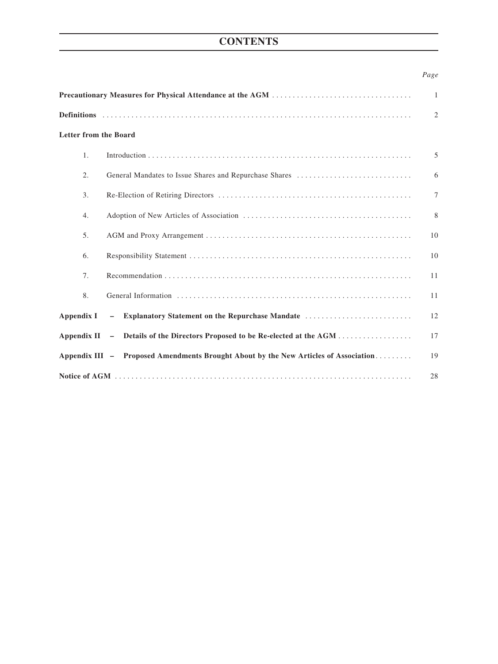# **CONTENTS**

## *Page*

|                              |                                                                                     | 1               |
|------------------------------|-------------------------------------------------------------------------------------|-----------------|
|                              |                                                                                     | $\overline{2}$  |
| <b>Letter from the Board</b> |                                                                                     |                 |
| 1.                           |                                                                                     | 5               |
| 2.                           |                                                                                     | 6               |
| 3.                           |                                                                                     | $7\phantom{.0}$ |
| 4.                           |                                                                                     | 8               |
| 5.                           |                                                                                     | 10              |
| 6.                           |                                                                                     | 10              |
| 7.                           |                                                                                     | 11              |
| 8.                           |                                                                                     | 11              |
| Appendix I                   | Explanatory Statement on the Repurchase Mandate<br>$-$                              | 12              |
| Appendix $II -$              |                                                                                     | 17              |
|                              | Appendix III - Proposed Amendments Brought About by the New Articles of Association | 19              |
|                              |                                                                                     | 28              |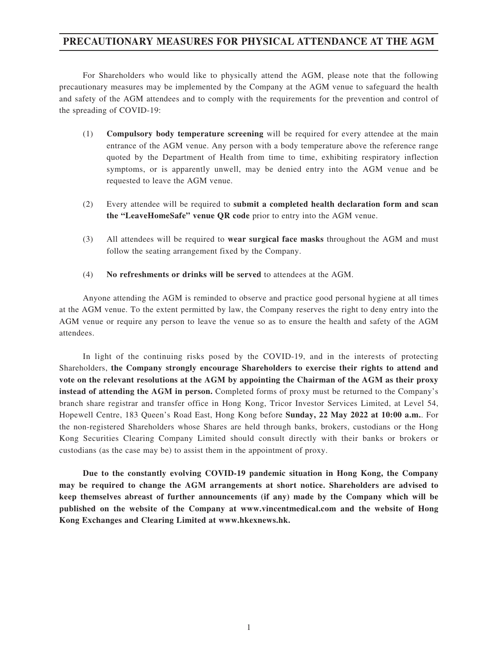## **PRECAUTIONARY MEASURES FOR PHYSICAL ATTENDANCE AT THE AGM**

For Shareholders who would like to physically attend the AGM, please note that the following precautionary measures may be implemented by the Company at the AGM venue to safeguard the health and safety of the AGM attendees and to comply with the requirements for the prevention and control of the spreading of COVID-19:

- (1) **Compulsory body temperature screening** will be required for every attendee at the main entrance of the AGM venue. Any person with a body temperature above the reference range quoted by the Department of Health from time to time, exhibiting respiratory inflection symptoms, or is apparently unwell, may be denied entry into the AGM venue and be requested to leave the AGM venue.
- (2) Every attendee will be required to **submit a completed health declaration form and scan the "LeaveHomeSafe" venue QR code** prior to entry into the AGM venue.
- (3) All attendees will be required to **wear surgical face masks** throughout the AGM and must follow the seating arrangement fixed by the Company.
- (4) **No refreshments or drinks will be served** to attendees at the AGM.

Anyone attending the AGM is reminded to observe and practice good personal hygiene at all times at the AGM venue. To the extent permitted by law, the Company reserves the right to deny entry into the AGM venue or require any person to leave the venue so as to ensure the health and safety of the AGM attendees.

In light of the continuing risks posed by the COVID-19, and in the interests of protecting Shareholders, **the Company strongly encourage Shareholders to exercise their rights to attend and vote on the relevant resolutions at the AGM by appointing the Chairman of the AGM as their proxy instead of attending the AGM in person.** Completed forms of proxy must be returned to the Company's branch share registrar and transfer office in Hong Kong, Tricor Investor Services Limited, at Level 54, Hopewell Centre, 183 Queen's Road East, Hong Kong before **Sunday, 22 May 2022 at 10:00 a.m.**. For the non-registered Shareholders whose Shares are held through banks, brokers, custodians or the Hong Kong Securities Clearing Company Limited should consult directly with their banks or brokers or custodians (as the case may be) to assist them in the appointment of proxy.

**Due to the constantly evolving COVID-19 pandemic situation in Hong Kong, the Company may be required to change the AGM arrangements at short notice. Shareholders are advised to keep themselves abreast of further announcements (if any) made by the Company which will be published on the website of the Company at www.vincentmedical.com and the website of Hong Kong Exchanges and Clearing Limited at www.hkexnews.hk.**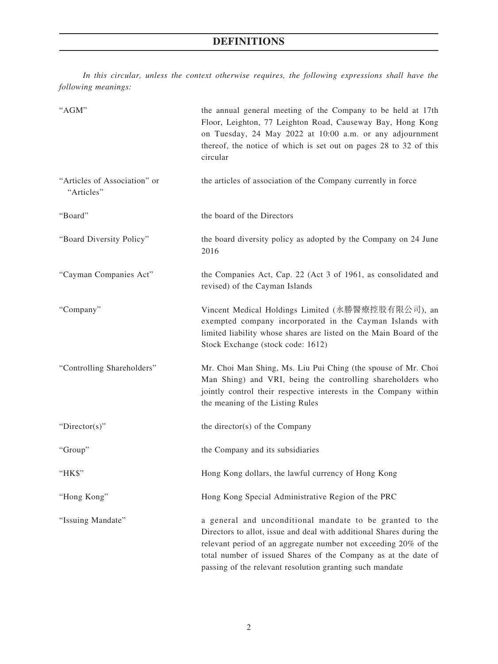*In this circular, unless the context otherwise requires, the following expressions shall have the following meanings:*

| "AGM"                                      | the annual general meeting of the Company to be held at 17th<br>Floor, Leighton, 77 Leighton Road, Causeway Bay, Hong Kong<br>on Tuesday, 24 May 2022 at 10:00 a.m. or any adjournment<br>thereof, the notice of which is set out on pages 28 to 32 of this<br>circular                                                           |
|--------------------------------------------|-----------------------------------------------------------------------------------------------------------------------------------------------------------------------------------------------------------------------------------------------------------------------------------------------------------------------------------|
| "Articles of Association" or<br>"Articles" | the articles of association of the Company currently in force                                                                                                                                                                                                                                                                     |
| "Board"                                    | the board of the Directors                                                                                                                                                                                                                                                                                                        |
| "Board Diversity Policy"                   | the board diversity policy as adopted by the Company on 24 June<br>2016                                                                                                                                                                                                                                                           |
| "Cayman Companies Act"                     | the Companies Act, Cap. 22 (Act 3 of 1961, as consolidated and<br>revised) of the Cayman Islands                                                                                                                                                                                                                                  |
| "Company"                                  | Vincent Medical Holdings Limited (永勝醫療控股有限公司), an<br>exempted company incorporated in the Cayman Islands with<br>limited liability whose shares are listed on the Main Board of the<br>Stock Exchange (stock code: 1612)                                                                                                          |
| "Controlling Shareholders"                 | Mr. Choi Man Shing, Ms. Liu Pui Ching (the spouse of Mr. Choi<br>Man Shing) and VRI, being the controlling shareholders who<br>jointly control their respective interests in the Company within<br>the meaning of the Listing Rules                                                                                               |
| "Director(s)"                              | the director(s) of the Company                                                                                                                                                                                                                                                                                                    |
| "Group"                                    | the Company and its subsidiaries                                                                                                                                                                                                                                                                                                  |
| "HK\$"                                     | Hong Kong dollars, the lawful currency of Hong Kong                                                                                                                                                                                                                                                                               |
| "Hong Kong"                                | Hong Kong Special Administrative Region of the PRC                                                                                                                                                                                                                                                                                |
| "Issuing Mandate"                          | a general and unconditional mandate to be granted to the<br>Directors to allot, issue and deal with additional Shares during the<br>relevant period of an aggregate number not exceeding 20% of the<br>total number of issued Shares of the Company as at the date of<br>passing of the relevant resolution granting such mandate |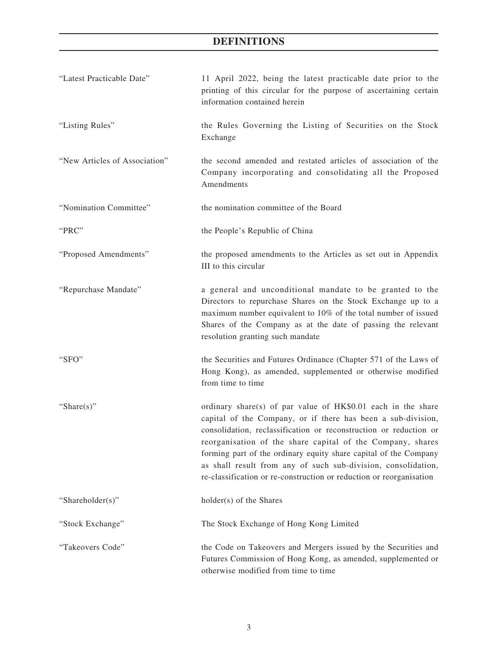# **DEFINITIONS**

| "Latest Practicable Date"     | 11 April 2022, being the latest practicable date prior to the<br>printing of this circular for the purpose of ascertaining certain<br>information contained herein                                                                                                                                                                                                                                                                                                          |
|-------------------------------|-----------------------------------------------------------------------------------------------------------------------------------------------------------------------------------------------------------------------------------------------------------------------------------------------------------------------------------------------------------------------------------------------------------------------------------------------------------------------------|
| "Listing Rules"               | the Rules Governing the Listing of Securities on the Stock<br>Exchange                                                                                                                                                                                                                                                                                                                                                                                                      |
| "New Articles of Association" | the second amended and restated articles of association of the<br>Company incorporating and consolidating all the Proposed<br>Amendments                                                                                                                                                                                                                                                                                                                                    |
| "Nomination Committee"        | the nomination committee of the Board                                                                                                                                                                                                                                                                                                                                                                                                                                       |
| "PRC"                         | the People's Republic of China                                                                                                                                                                                                                                                                                                                                                                                                                                              |
| "Proposed Amendments"         | the proposed amendments to the Articles as set out in Appendix<br>III to this circular                                                                                                                                                                                                                                                                                                                                                                                      |
| "Repurchase Mandate"          | a general and unconditional mandate to be granted to the<br>Directors to repurchase Shares on the Stock Exchange up to a<br>maximum number equivalent to 10% of the total number of issued<br>Shares of the Company as at the date of passing the relevant<br>resolution granting such mandate                                                                                                                                                                              |
| "SFO"                         | the Securities and Futures Ordinance (Chapter 571 of the Laws of<br>Hong Kong), as amended, supplemented or otherwise modified<br>from time to time                                                                                                                                                                                                                                                                                                                         |
| "Share $(s)$ "                | ordinary share(s) of par value of HK\$0.01 each in the share<br>capital of the Company, or if there has been a sub-division,<br>consolidation, reclassification or reconstruction or reduction or<br>reorganisation of the share capital of the Company, shares<br>forming part of the ordinary equity share capital of the Company<br>as shall result from any of such sub-division, consolidation,<br>re-classification or re-construction or reduction or reorganisation |
| "Shareholder(s)"              | holder(s) of the Shares                                                                                                                                                                                                                                                                                                                                                                                                                                                     |
| "Stock Exchange"              | The Stock Exchange of Hong Kong Limited                                                                                                                                                                                                                                                                                                                                                                                                                                     |
| "Takeovers Code"              | the Code on Takeovers and Mergers issued by the Securities and<br>Futures Commission of Hong Kong, as amended, supplemented or<br>otherwise modified from time to time                                                                                                                                                                                                                                                                                                      |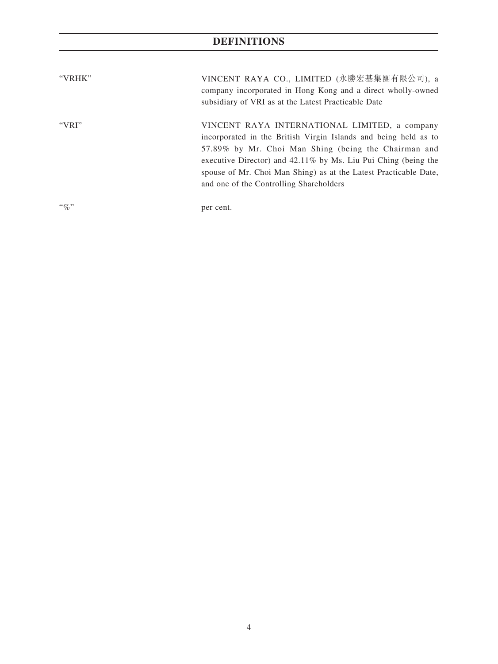# **DEFINITIONS**

| "VRHK"  | VINCENT RAYA CO., LIMITED (永勝宏基集團有限公司), a<br>company incorporated in Hong Kong and a direct wholly-owned<br>subsidiary of VRI as at the Latest Practicable Date                                                                                                                                                                                           |
|---------|-----------------------------------------------------------------------------------------------------------------------------------------------------------------------------------------------------------------------------------------------------------------------------------------------------------------------------------------------------------|
| "VRI"   | VINCENT RAYA INTERNATIONAL LIMITED, a company<br>incorporated in the British Virgin Islands and being held as to<br>57.89% by Mr. Choi Man Shing (being the Chairman and<br>executive Director) and 42.11% by Ms. Liu Pui Ching (being the<br>spouse of Mr. Choi Man Shing) as at the Latest Practicable Date,<br>and one of the Controlling Shareholders |
| $``\%"$ | per cent.                                                                                                                                                                                                                                                                                                                                                 |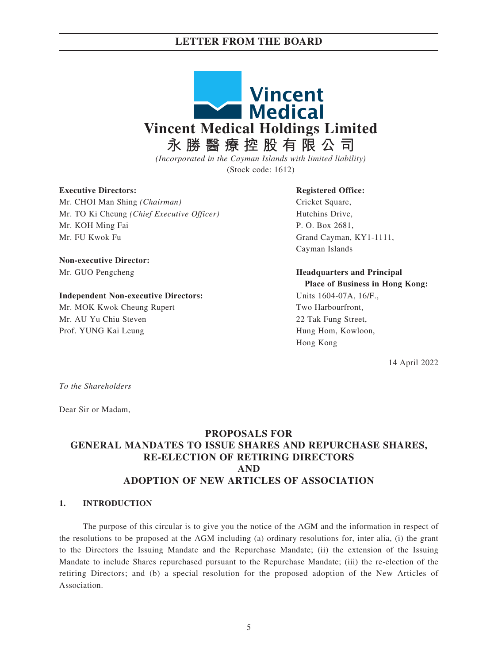

*(Incorporated in the Cayman Islands with limited liability)* (Stock code: 1612)

#### **Executive Directors:**

Mr. CHOI Man Shing *(Chairman)* Mr. TO Ki Cheung *(Chief Executive Officer)* Mr. KOH Ming Fai Mr. FU Kwok Fu

**Non-executive Director:** Mr. GUO Pengcheng

#### **Independent Non-executive Directors:**

Mr. MOK Kwok Cheung Rupert Mr. AU Yu Chiu Steven Prof. YUNG Kai Leung

#### **Registered Office:**

Cricket Square, Hutchins Drive, P. O. Box 2681, Grand Cayman, KY1-1111, Cayman Islands

**Headquarters and Principal Place of Business in Hong Kong:**

Units 1604-07A, 16/F., Two Harbourfront, 22 Tak Fung Street, Hung Hom, Kowloon, Hong Kong

14 April 2022

*To the Shareholders*

Dear Sir or Madam,

## **PROPOSALS FOR GENERAL MANDATES TO ISSUE SHARES AND REPURCHASE SHARES, RE-ELECTION OF RETIRING DIRECTORS AND ADOPTION OF NEW ARTICLES OF ASSOCIATION**

#### **1. INTRODUCTION**

The purpose of this circular is to give you the notice of the AGM and the information in respect of the resolutions to be proposed at the AGM including (a) ordinary resolutions for, inter alia, (i) the grant to the Directors the Issuing Mandate and the Repurchase Mandate; (ii) the extension of the Issuing Mandate to include Shares repurchased pursuant to the Repurchase Mandate; (iii) the re-election of the retiring Directors; and (b) a special resolution for the proposed adoption of the New Articles of Association.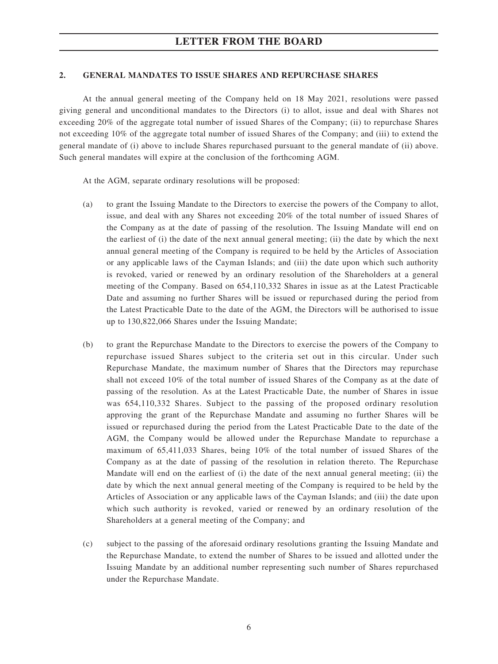### **2. GENERAL MANDATES TO ISSUE SHARES AND REPURCHASE SHARES**

At the annual general meeting of the Company held on 18 May 2021, resolutions were passed giving general and unconditional mandates to the Directors (i) to allot, issue and deal with Shares not exceeding 20% of the aggregate total number of issued Shares of the Company; (ii) to repurchase Shares not exceeding 10% of the aggregate total number of issued Shares of the Company; and (iii) to extend the general mandate of (i) above to include Shares repurchased pursuant to the general mandate of (ii) above. Such general mandates will expire at the conclusion of the forthcoming AGM.

At the AGM, separate ordinary resolutions will be proposed:

- (a) to grant the Issuing Mandate to the Directors to exercise the powers of the Company to allot, issue, and deal with any Shares not exceeding 20% of the total number of issued Shares of the Company as at the date of passing of the resolution. The Issuing Mandate will end on the earliest of (i) the date of the next annual general meeting; (ii) the date by which the next annual general meeting of the Company is required to be held by the Articles of Association or any applicable laws of the Cayman Islands; and (iii) the date upon which such authority is revoked, varied or renewed by an ordinary resolution of the Shareholders at a general meeting of the Company. Based on 654,110,332 Shares in issue as at the Latest Practicable Date and assuming no further Shares will be issued or repurchased during the period from the Latest Practicable Date to the date of the AGM, the Directors will be authorised to issue up to 130,822,066 Shares under the Issuing Mandate;
- (b) to grant the Repurchase Mandate to the Directors to exercise the powers of the Company to repurchase issued Shares subject to the criteria set out in this circular. Under such Repurchase Mandate, the maximum number of Shares that the Directors may repurchase shall not exceed 10% of the total number of issued Shares of the Company as at the date of passing of the resolution. As at the Latest Practicable Date, the number of Shares in issue was 654,110,332 Shares. Subject to the passing of the proposed ordinary resolution approving the grant of the Repurchase Mandate and assuming no further Shares will be issued or repurchased during the period from the Latest Practicable Date to the date of the AGM, the Company would be allowed under the Repurchase Mandate to repurchase a maximum of 65,411,033 Shares, being 10% of the total number of issued Shares of the Company as at the date of passing of the resolution in relation thereto. The Repurchase Mandate will end on the earliest of (i) the date of the next annual general meeting; (ii) the date by which the next annual general meeting of the Company is required to be held by the Articles of Association or any applicable laws of the Cayman Islands; and (iii) the date upon which such authority is revoked, varied or renewed by an ordinary resolution of the Shareholders at a general meeting of the Company; and
- (c) subject to the passing of the aforesaid ordinary resolutions granting the Issuing Mandate and the Repurchase Mandate, to extend the number of Shares to be issued and allotted under the Issuing Mandate by an additional number representing such number of Shares repurchased under the Repurchase Mandate.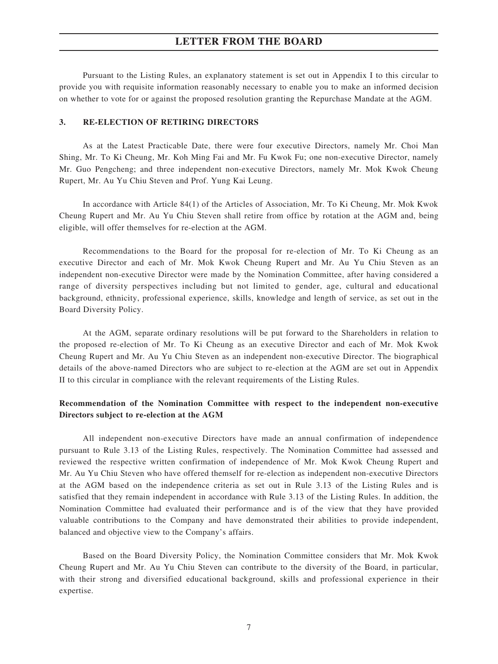Pursuant to the Listing Rules, an explanatory statement is set out in Appendix I to this circular to provide you with requisite information reasonably necessary to enable you to make an informed decision on whether to vote for or against the proposed resolution granting the Repurchase Mandate at the AGM.

### **3. RE-ELECTION OF RETIRING DIRECTORS**

As at the Latest Practicable Date, there were four executive Directors, namely Mr. Choi Man Shing, Mr. To Ki Cheung, Mr. Koh Ming Fai and Mr. Fu Kwok Fu; one non-executive Director, namely Mr. Guo Pengcheng; and three independent non-executive Directors, namely Mr. Mok Kwok Cheung Rupert, Mr. Au Yu Chiu Steven and Prof. Yung Kai Leung.

In accordance with Article 84(1) of the Articles of Association, Mr. To Ki Cheung, Mr. Mok Kwok Cheung Rupert and Mr. Au Yu Chiu Steven shall retire from office by rotation at the AGM and, being eligible, will offer themselves for re-election at the AGM.

Recommendations to the Board for the proposal for re-election of Mr. To Ki Cheung as an executive Director and each of Mr. Mok Kwok Cheung Rupert and Mr. Au Yu Chiu Steven as an independent non-executive Director were made by the Nomination Committee, after having considered a range of diversity perspectives including but not limited to gender, age, cultural and educational background, ethnicity, professional experience, skills, knowledge and length of service, as set out in the Board Diversity Policy.

At the AGM, separate ordinary resolutions will be put forward to the Shareholders in relation to the proposed re-election of Mr. To Ki Cheung as an executive Director and each of Mr. Mok Kwok Cheung Rupert and Mr. Au Yu Chiu Steven as an independent non-executive Director. The biographical details of the above-named Directors who are subject to re-election at the AGM are set out in Appendix II to this circular in compliance with the relevant requirements of the Listing Rules.

## **Recommendation of the Nomination Committee with respect to the independent non-executive Directors subject to re-election at the AGM**

All independent non-executive Directors have made an annual confirmation of independence pursuant to Rule 3.13 of the Listing Rules, respectively. The Nomination Committee had assessed and reviewed the respective written confirmation of independence of Mr. Mok Kwok Cheung Rupert and Mr. Au Yu Chiu Steven who have offered themself for re-election as independent non-executive Directors at the AGM based on the independence criteria as set out in Rule 3.13 of the Listing Rules and is satisfied that they remain independent in accordance with Rule 3.13 of the Listing Rules. In addition, the Nomination Committee had evaluated their performance and is of the view that they have provided valuable contributions to the Company and have demonstrated their abilities to provide independent, balanced and objective view to the Company's affairs.

Based on the Board Diversity Policy, the Nomination Committee considers that Mr. Mok Kwok Cheung Rupert and Mr. Au Yu Chiu Steven can contribute to the diversity of the Board, in particular, with their strong and diversified educational background, skills and professional experience in their expertise.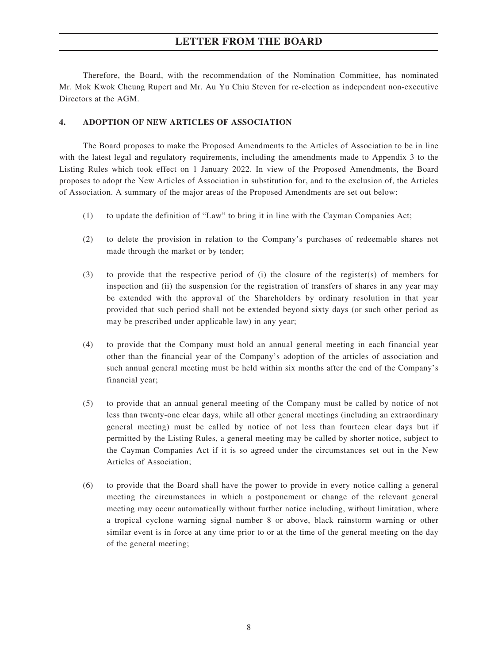Therefore, the Board, with the recommendation of the Nomination Committee, has nominated Mr. Mok Kwok Cheung Rupert and Mr. Au Yu Chiu Steven for re-election as independent non-executive Directors at the AGM.

### **4. ADOPTION OF NEW ARTICLES OF ASSOCIATION**

The Board proposes to make the Proposed Amendments to the Articles of Association to be in line with the latest legal and regulatory requirements, including the amendments made to Appendix 3 to the Listing Rules which took effect on 1 January 2022. In view of the Proposed Amendments, the Board proposes to adopt the New Articles of Association in substitution for, and to the exclusion of, the Articles of Association. A summary of the major areas of the Proposed Amendments are set out below:

- (1) to update the definition of "Law" to bring it in line with the Cayman Companies Act;
- (2) to delete the provision in relation to the Company's purchases of redeemable shares not made through the market or by tender;
- (3) to provide that the respective period of (i) the closure of the register(s) of members for inspection and (ii) the suspension for the registration of transfers of shares in any year may be extended with the approval of the Shareholders by ordinary resolution in that year provided that such period shall not be extended beyond sixty days (or such other period as may be prescribed under applicable law) in any year;
- (4) to provide that the Company must hold an annual general meeting in each financial year other than the financial year of the Company's adoption of the articles of association and such annual general meeting must be held within six months after the end of the Company's financial year;
- (5) to provide that an annual general meeting of the Company must be called by notice of not less than twenty-one clear days, while all other general meetings (including an extraordinary general meeting) must be called by notice of not less than fourteen clear days but if permitted by the Listing Rules, a general meeting may be called by shorter notice, subject to the Cayman Companies Act if it is so agreed under the circumstances set out in the New Articles of Association;
- (6) to provide that the Board shall have the power to provide in every notice calling a general meeting the circumstances in which a postponement or change of the relevant general meeting may occur automatically without further notice including, without limitation, where a tropical cyclone warning signal number 8 or above, black rainstorm warning or other similar event is in force at any time prior to or at the time of the general meeting on the day of the general meeting;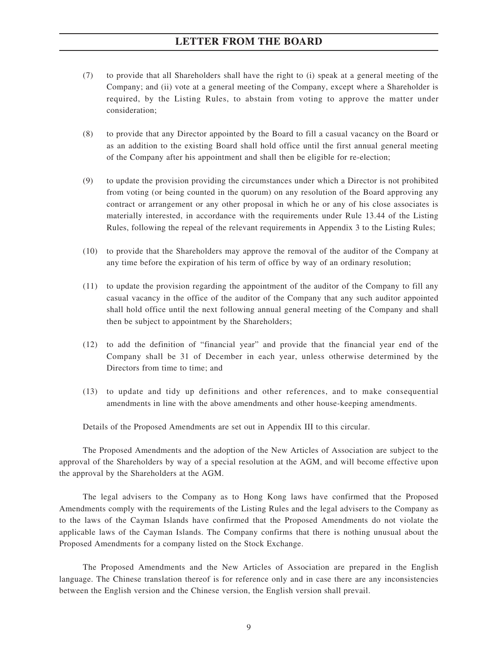- (7) to provide that all Shareholders shall have the right to (i) speak at a general meeting of the Company; and (ii) vote at a general meeting of the Company, except where a Shareholder is required, by the Listing Rules, to abstain from voting to approve the matter under consideration;
- (8) to provide that any Director appointed by the Board to fill a casual vacancy on the Board or as an addition to the existing Board shall hold office until the first annual general meeting of the Company after his appointment and shall then be eligible for re-election;
- (9) to update the provision providing the circumstances under which a Director is not prohibited from voting (or being counted in the quorum) on any resolution of the Board approving any contract or arrangement or any other proposal in which he or any of his close associates is materially interested, in accordance with the requirements under Rule 13.44 of the Listing Rules, following the repeal of the relevant requirements in Appendix 3 to the Listing Rules;
- (10) to provide that the Shareholders may approve the removal of the auditor of the Company at any time before the expiration of his term of office by way of an ordinary resolution;
- (11) to update the provision regarding the appointment of the auditor of the Company to fill any casual vacancy in the office of the auditor of the Company that any such auditor appointed shall hold office until the next following annual general meeting of the Company and shall then be subject to appointment by the Shareholders;
- (12) to add the definition of "financial year" and provide that the financial year end of the Company shall be 31 of December in each year, unless otherwise determined by the Directors from time to time; and
- (13) to update and tidy up definitions and other references, and to make consequential amendments in line with the above amendments and other house-keeping amendments.

Details of the Proposed Amendments are set out in Appendix III to this circular.

The Proposed Amendments and the adoption of the New Articles of Association are subject to the approval of the Shareholders by way of a special resolution at the AGM, and will become effective upon the approval by the Shareholders at the AGM.

The legal advisers to the Company as to Hong Kong laws have confirmed that the Proposed Amendments comply with the requirements of the Listing Rules and the legal advisers to the Company as to the laws of the Cayman Islands have confirmed that the Proposed Amendments do not violate the applicable laws of the Cayman Islands. The Company confirms that there is nothing unusual about the Proposed Amendments for a company listed on the Stock Exchange.

The Proposed Amendments and the New Articles of Association are prepared in the English language. The Chinese translation thereof is for reference only and in case there are any inconsistencies between the English version and the Chinese version, the English version shall prevail.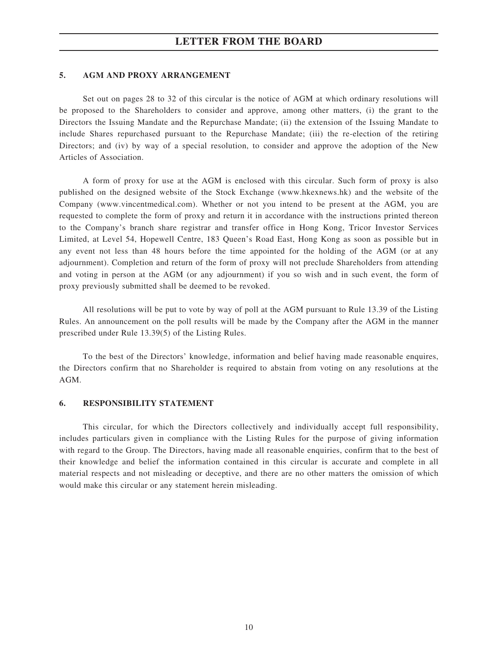### **5. AGM AND PROXY ARRANGEMENT**

Set out on pages 28 to 32 of this circular is the notice of AGM at which ordinary resolutions will be proposed to the Shareholders to consider and approve, among other matters, (i) the grant to the Directors the Issuing Mandate and the Repurchase Mandate; (ii) the extension of the Issuing Mandate to include Shares repurchased pursuant to the Repurchase Mandate; (iii) the re-election of the retiring Directors; and (iv) by way of a special resolution, to consider and approve the adoption of the New Articles of Association.

A form of proxy for use at the AGM is enclosed with this circular. Such form of proxy is also published on the designed website of the Stock Exchange (www.hkexnews.hk) and the website of the Company (www.vincentmedical.com). Whether or not you intend to be present at the AGM, you are requested to complete the form of proxy and return it in accordance with the instructions printed thereon to the Company's branch share registrar and transfer office in Hong Kong, Tricor Investor Services Limited, at Level 54, Hopewell Centre, 183 Queen's Road East, Hong Kong as soon as possible but in any event not less than 48 hours before the time appointed for the holding of the AGM (or at any adjournment). Completion and return of the form of proxy will not preclude Shareholders from attending and voting in person at the AGM (or any adjournment) if you so wish and in such event, the form of proxy previously submitted shall be deemed to be revoked.

All resolutions will be put to vote by way of poll at the AGM pursuant to Rule 13.39 of the Listing Rules. An announcement on the poll results will be made by the Company after the AGM in the manner prescribed under Rule 13.39(5) of the Listing Rules.

To the best of the Directors' knowledge, information and belief having made reasonable enquires, the Directors confirm that no Shareholder is required to abstain from voting on any resolutions at the AGM.

#### **6. RESPONSIBILITY STATEMENT**

This circular, for which the Directors collectively and individually accept full responsibility, includes particulars given in compliance with the Listing Rules for the purpose of giving information with regard to the Group. The Directors, having made all reasonable enquiries, confirm that to the best of their knowledge and belief the information contained in this circular is accurate and complete in all material respects and not misleading or deceptive, and there are no other matters the omission of which would make this circular or any statement herein misleading.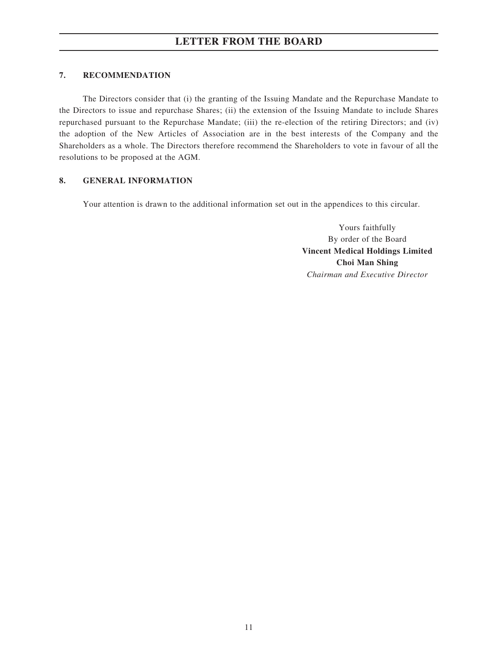## **7. RECOMMENDATION**

The Directors consider that (i) the granting of the Issuing Mandate and the Repurchase Mandate to the Directors to issue and repurchase Shares; (ii) the extension of the Issuing Mandate to include Shares repurchased pursuant to the Repurchase Mandate; (iii) the re-election of the retiring Directors; and (iv) the adoption of the New Articles of Association are in the best interests of the Company and the Shareholders as a whole. The Directors therefore recommend the Shareholders to vote in favour of all the resolutions to be proposed at the AGM.

## **8. GENERAL INFORMATION**

Your attention is drawn to the additional information set out in the appendices to this circular.

Yours faithfully By order of the Board **Vincent Medical Holdings Limited Choi Man Shing** *Chairman and Executive Director*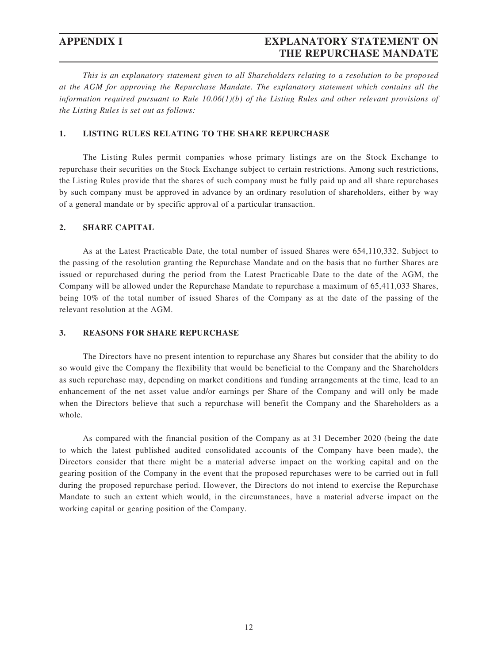## **APPENDIX I EXPLANATORY STATEMENT ON THE REPURCHASE MANDATE**

*This is an explanatory statement given to all Shareholders relating to a resolution to be proposed at the AGM for approving the Repurchase Mandate. The explanatory statement which contains all the information required pursuant to Rule 10.06(1)(b) of the Listing Rules and other relevant provisions of the Listing Rules is set out as follows:*

## **1. LISTING RULES RELATING TO THE SHARE REPURCHASE**

The Listing Rules permit companies whose primary listings are on the Stock Exchange to repurchase their securities on the Stock Exchange subject to certain restrictions. Among such restrictions, the Listing Rules provide that the shares of such company must be fully paid up and all share repurchases by such company must be approved in advance by an ordinary resolution of shareholders, either by way of a general mandate or by specific approval of a particular transaction.

## **2. SHARE CAPITAL**

As at the Latest Practicable Date, the total number of issued Shares were 654,110,332. Subject to the passing of the resolution granting the Repurchase Mandate and on the basis that no further Shares are issued or repurchased during the period from the Latest Practicable Date to the date of the AGM, the Company will be allowed under the Repurchase Mandate to repurchase a maximum of 65,411,033 Shares, being 10% of the total number of issued Shares of the Company as at the date of the passing of the relevant resolution at the AGM.

### **3. REASONS FOR SHARE REPURCHASE**

The Directors have no present intention to repurchase any Shares but consider that the ability to do so would give the Company the flexibility that would be beneficial to the Company and the Shareholders as such repurchase may, depending on market conditions and funding arrangements at the time, lead to an enhancement of the net asset value and/or earnings per Share of the Company and will only be made when the Directors believe that such a repurchase will benefit the Company and the Shareholders as a whole.

As compared with the financial position of the Company as at 31 December 2020 (being the date to which the latest published audited consolidated accounts of the Company have been made), the Directors consider that there might be a material adverse impact on the working capital and on the gearing position of the Company in the event that the proposed repurchases were to be carried out in full during the proposed repurchase period. However, the Directors do not intend to exercise the Repurchase Mandate to such an extent which would, in the circumstances, have a material adverse impact on the working capital or gearing position of the Company.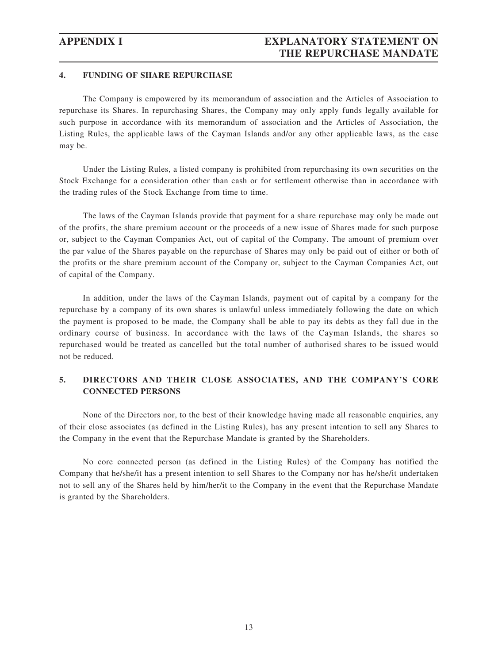## **APPENDIX I EXPLANATORY STATEMENT ON THE REPURCHASE MANDATE**

### **4. FUNDING OF SHARE REPURCHASE**

The Company is empowered by its memorandum of association and the Articles of Association to repurchase its Shares. In repurchasing Shares, the Company may only apply funds legally available for such purpose in accordance with its memorandum of association and the Articles of Association, the Listing Rules, the applicable laws of the Cayman Islands and/or any other applicable laws, as the case may be.

Under the Listing Rules, a listed company is prohibited from repurchasing its own securities on the Stock Exchange for a consideration other than cash or for settlement otherwise than in accordance with the trading rules of the Stock Exchange from time to time.

The laws of the Cayman Islands provide that payment for a share repurchase may only be made out of the profits, the share premium account or the proceeds of a new issue of Shares made for such purpose or, subject to the Cayman Companies Act, out of capital of the Company. The amount of premium over the par value of the Shares payable on the repurchase of Shares may only be paid out of either or both of the profits or the share premium account of the Company or, subject to the Cayman Companies Act, out of capital of the Company.

In addition, under the laws of the Cayman Islands, payment out of capital by a company for the repurchase by a company of its own shares is unlawful unless immediately following the date on which the payment is proposed to be made, the Company shall be able to pay its debts as they fall due in the ordinary course of business. In accordance with the laws of the Cayman Islands, the shares so repurchased would be treated as cancelled but the total number of authorised shares to be issued would not be reduced.

## **5. DIRECTORS AND THEIR CLOSE ASSOCIATES, AND THE COMPANY'S CORE CONNECTED PERSONS**

None of the Directors nor, to the best of their knowledge having made all reasonable enquiries, any of their close associates (as defined in the Listing Rules), has any present intention to sell any Shares to the Company in the event that the Repurchase Mandate is granted by the Shareholders.

No core connected person (as defined in the Listing Rules) of the Company has notified the Company that he/she/it has a present intention to sell Shares to the Company nor has he/she/it undertaken not to sell any of the Shares held by him/her/it to the Company in the event that the Repurchase Mandate is granted by the Shareholders.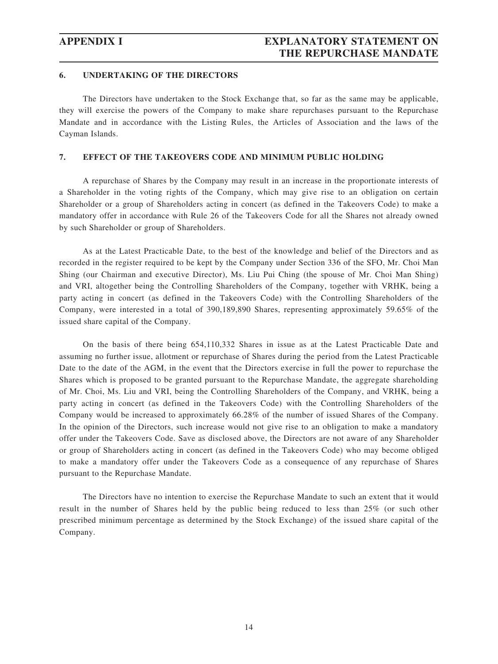## **APPENDIX I EXPLANATORY STATEMENT ON THE REPURCHASE MANDATE**

### **6. UNDERTAKING OF THE DIRECTORS**

The Directors have undertaken to the Stock Exchange that, so far as the same may be applicable, they will exercise the powers of the Company to make share repurchases pursuant to the Repurchase Mandate and in accordance with the Listing Rules, the Articles of Association and the laws of the Cayman Islands.

### **7. EFFECT OF THE TAKEOVERS CODE AND MINIMUM PUBLIC HOLDING**

A repurchase of Shares by the Company may result in an increase in the proportionate interests of a Shareholder in the voting rights of the Company, which may give rise to an obligation on certain Shareholder or a group of Shareholders acting in concert (as defined in the Takeovers Code) to make a mandatory offer in accordance with Rule 26 of the Takeovers Code for all the Shares not already owned by such Shareholder or group of Shareholders.

As at the Latest Practicable Date, to the best of the knowledge and belief of the Directors and as recorded in the register required to be kept by the Company under Section 336 of the SFO, Mr. Choi Man Shing (our Chairman and executive Director), Ms. Liu Pui Ching (the spouse of Mr. Choi Man Shing) and VRI, altogether being the Controlling Shareholders of the Company, together with VRHK, being a party acting in concert (as defined in the Takeovers Code) with the Controlling Shareholders of the Company, were interested in a total of 390,189,890 Shares, representing approximately 59.65% of the issued share capital of the Company.

On the basis of there being 654,110,332 Shares in issue as at the Latest Practicable Date and assuming no further issue, allotment or repurchase of Shares during the period from the Latest Practicable Date to the date of the AGM, in the event that the Directors exercise in full the power to repurchase the Shares which is proposed to be granted pursuant to the Repurchase Mandate, the aggregate shareholding of Mr. Choi, Ms. Liu and VRI, being the Controlling Shareholders of the Company, and VRHK, being a party acting in concert (as defined in the Takeovers Code) with the Controlling Shareholders of the Company would be increased to approximately 66.28% of the number of issued Shares of the Company. In the opinion of the Directors, such increase would not give rise to an obligation to make a mandatory offer under the Takeovers Code. Save as disclosed above, the Directors are not aware of any Shareholder or group of Shareholders acting in concert (as defined in the Takeovers Code) who may become obliged to make a mandatory offer under the Takeovers Code as a consequence of any repurchase of Shares pursuant to the Repurchase Mandate.

The Directors have no intention to exercise the Repurchase Mandate to such an extent that it would result in the number of Shares held by the public being reduced to less than 25% (or such other prescribed minimum percentage as determined by the Stock Exchange) of the issued share capital of the Company.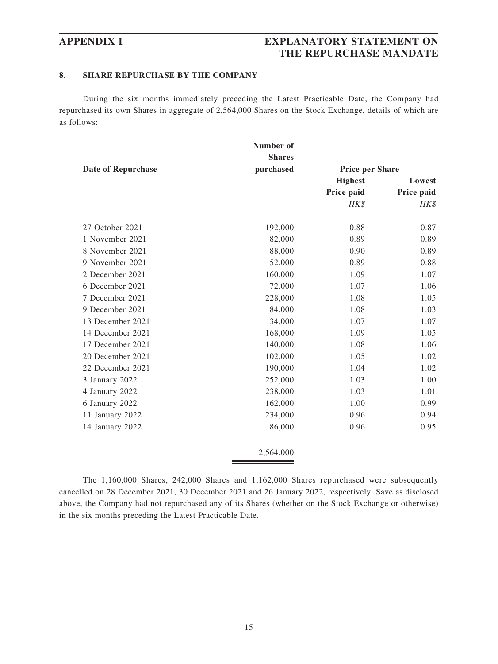# **APPENDIX I EXPLANATORY STATEMENT ON THE REPURCHASE MANDATE**

## **8. SHARE REPURCHASE BY THE COMPANY**

During the six months immediately preceding the Latest Practicable Date, the Company had repurchased its own Shares in aggregate of 2,564,000 Shares on the Stock Exchange, details of which are as follows:

|                           | Number of     |                        |            |
|---------------------------|---------------|------------------------|------------|
|                           | <b>Shares</b> |                        |            |
| <b>Date of Repurchase</b> | purchased     | <b>Price per Share</b> |            |
|                           |               | <b>Highest</b>         | Lowest     |
|                           |               | Price paid             | Price paid |
|                           |               | HK\$                   | HK\$       |
| 27 October 2021           | 192,000       | 0.88                   | 0.87       |
| 1 November 2021           | 82,000        | 0.89                   | 0.89       |
| 8 November 2021           | 88,000        | 0.90                   | 0.89       |
| 9 November 2021           | 52,000        | 0.89                   | 0.88       |
| 2 December 2021           | 160,000       | 1.09                   | 1.07       |
| 6 December 2021           | 72,000        | 1.07                   | 1.06       |
| 7 December 2021           | 228,000       | 1.08                   | 1.05       |
| 9 December 2021           | 84,000        | 1.08                   | 1.03       |
| 13 December 2021          | 34,000        | 1.07                   | 1.07       |
| 14 December 2021          | 168,000       | 1.09                   | 1.05       |
| 17 December 2021          | 140,000       | 1.08                   | 1.06       |
| 20 December 2021          | 102,000       | 1.05                   | 1.02       |
| 22 December 2021          | 190,000       | 1.04                   | 1.02       |
| 3 January 2022            | 252,000       | 1.03                   | 1.00       |
| 4 January 2022            | 238,000       | 1.03                   | 1.01       |
| 6 January 2022            | 162,000       | 1.00                   | 0.99       |
| 11 January 2022           | 234,000       | 0.96                   | 0.94       |
| 14 January 2022           | 86,000        | 0.96                   | 0.95       |
|                           | 2,564,000     |                        |            |
|                           |               |                        |            |

The 1,160,000 Shares, 242,000 Shares and 1,162,000 Shares repurchased were subsequently cancelled on 28 December 2021, 30 December 2021 and 26 January 2022, respectively. Save as disclosed above, the Company had not repurchased any of its Shares (whether on the Stock Exchange or otherwise) in the six months preceding the Latest Practicable Date.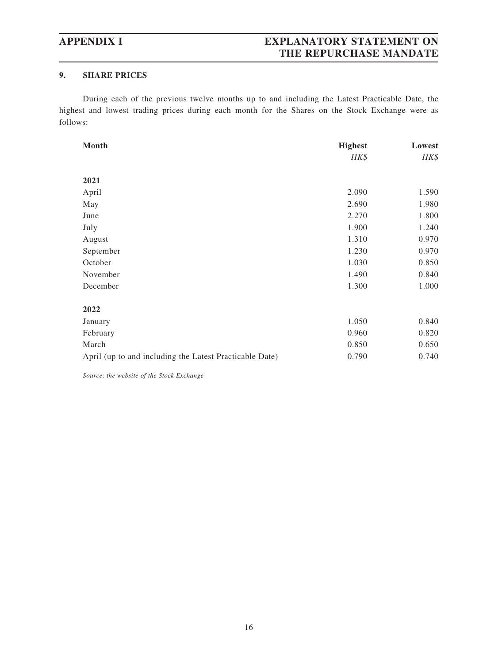# **APPENDIX I EXPLANATORY STATEMENT ON THE REPURCHASE MANDATE**

## **9. SHARE PRICES**

During each of the previous twelve months up to and including the Latest Practicable Date, the highest and lowest trading prices during each month for the Shares on the Stock Exchange were as follows:

| Month                                                   | <b>Highest</b> | Lowest |
|---------------------------------------------------------|----------------|--------|
|                                                         | HK\$           | HK\$   |
|                                                         |                |        |
| 2021                                                    |                |        |
| April                                                   | 2.090          | 1.590  |
| May                                                     | 2.690          | 1.980  |
| June                                                    | 2.270          | 1.800  |
| July                                                    | 1.900          | 1.240  |
| August                                                  | 1.310          | 0.970  |
| September                                               | 1.230          | 0.970  |
| October                                                 | 1.030          | 0.850  |
| November                                                | 1.490          | 0.840  |
| December                                                | 1.300          | 1.000  |
|                                                         |                |        |
| 2022                                                    |                |        |
| January                                                 | 1.050          | 0.840  |
| February                                                | 0.960          | 0.820  |
| March                                                   | 0.850          | 0.650  |
| April (up to and including the Latest Practicable Date) | 0.790          | 0.740  |

*Source: the website of the Stock Exchange*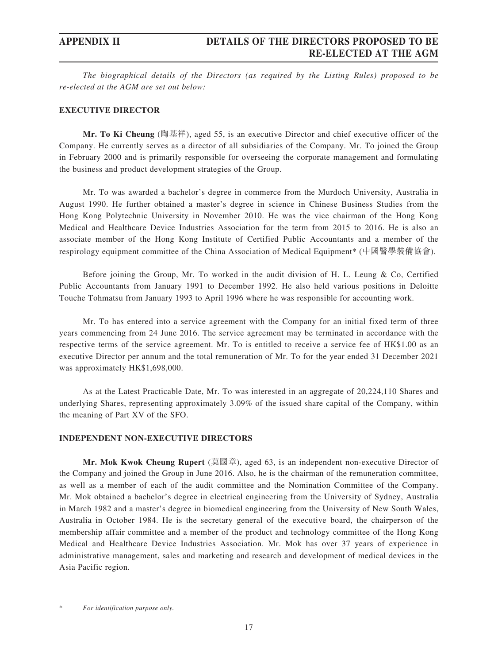## **APPENDIX II DETAILS OF THE DIRECTORS PROPOSED TO BE RE-ELECTED AT THE AGM**

*The biographical details of the Directors (as required by the Listing Rules) proposed to be re-elected at the AGM are set out below:*

### **EXECUTIVE DIRECTOR**

**Mr. To Ki Cheung** (陶基祥), aged 55, is an executive Director and chief executive officer of the Company. He currently serves as a director of all subsidiaries of the Company. Mr. To joined the Group in February 2000 and is primarily responsible for overseeing the corporate management and formulating the business and product development strategies of the Group.

Mr. To was awarded a bachelor's degree in commerce from the Murdoch University, Australia in August 1990. He further obtained a master's degree in science in Chinese Business Studies from the Hong Kong Polytechnic University in November 2010. He was the vice chairman of the Hong Kong Medical and Healthcare Device Industries Association for the term from 2015 to 2016. He is also an associate member of the Hong Kong Institute of Certified Public Accountants and a member of the respirology equipment committee of the China Association of Medical Equipment\* (中國醫學裝備協會).

Before joining the Group, Mr. To worked in the audit division of H. L. Leung & Co, Certified Public Accountants from January 1991 to December 1992. He also held various positions in Deloitte Touche Tohmatsu from January 1993 to April 1996 where he was responsible for accounting work.

Mr. To has entered into a service agreement with the Company for an initial fixed term of three years commencing from 24 June 2016. The service agreement may be terminated in accordance with the respective terms of the service agreement. Mr. To is entitled to receive a service fee of HK\$1.00 as an executive Director per annum and the total remuneration of Mr. To for the year ended 31 December 2021 was approximately HK\$1,698,000.

As at the Latest Practicable Date, Mr. To was interested in an aggregate of 20,224,110 Shares and underlying Shares, representing approximately 3.09% of the issued share capital of the Company, within the meaning of Part XV of the SFO.

### **INDEPENDENT NON-EXECUTIVE DIRECTORS**

**Mr. Mok Kwok Cheung Rupert** (莫國章), aged 63, is an independent non-executive Director of the Company and joined the Group in June 2016. Also, he is the chairman of the remuneration committee, as well as a member of each of the audit committee and the Nomination Committee of the Company. Mr. Mok obtained a bachelor's degree in electrical engineering from the University of Sydney, Australia in March 1982 and a master's degree in biomedical engineering from the University of New South Wales, Australia in October 1984. He is the secretary general of the executive board, the chairperson of the membership affair committee and a member of the product and technology committee of the Hong Kong Medical and Healthcare Device Industries Association. Mr. Mok has over 37 years of experience in administrative management, sales and marketing and research and development of medical devices in the Asia Pacific region.

 $For$  *identification purpose only.*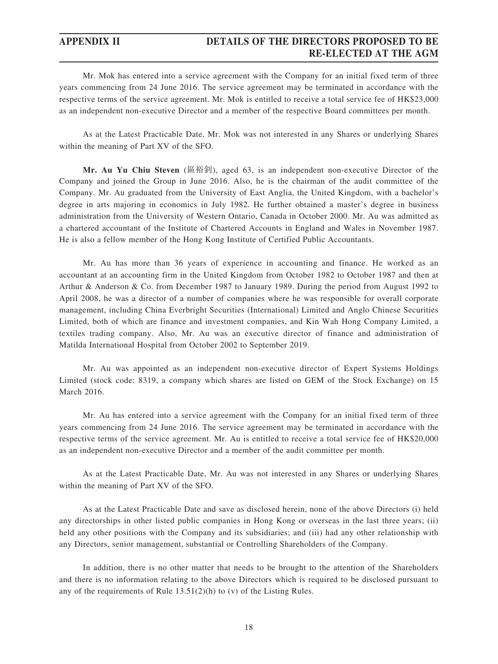## **APPENDIX II DETAILS OF THE DIRECTORS PROPOSED TO BE RE-ELECTED AT THE AGM**

Mr. Mok has entered into a service agreement with the Company for an initial fixed term of three years commencing from 24 June 2016. The service agreement may be terminated in accordance with the respective terms of the service agreement. Mr. Mok is entitled to receive a total service fee of HK\$23,000 as an independent non-executive Director and a member of the respective Board committees per month.

As at the Latest Practicable Date, Mr. Mok was not interested in any Shares or underlying Shares within the meaning of Part XV of the SFO.

**Mr. Au Yu Chiu Steven** (區裕釗), aged 63, is an independent non-executive Director of the Company and joined the Group in June 2016. Also, he is the chairman of the audit committee of the Company. Mr. Au graduated from the University of East Anglia, the United Kingdom, with a bachelor's degree in arts majoring in economics in July 1982. He further obtained a master's degree in business administration from the University of Western Ontario, Canada in October 2000. Mr. Au was admitted as a chartered accountant of the Institute of Chartered Accounts in England and Wales in November 1987. He is also a fellow member of the Hong Kong Institute of Certified Public Accountants.

Mr. Au has more than 36 years of experience in accounting and finance. He worked as an accountant at an accounting firm in the United Kingdom from October 1982 to October 1987 and then at Arthur & Anderson & Co. from December 1987 to January 1989. During the period from August 1992 to April 2008, he was a director of a number of companies where he was responsible for overall corporate management, including China Everbright Securities (International) Limited and Anglo Chinese Securities Limited, both of which are finance and investment companies, and Kin Wah Hong Company Limited, a textiles trading company. Also, Mr. Au was an executive director of finance and administration of Matilda International Hospital from October 2002 to September 2019.

Mr. Au was appointed as an independent non-executive director of Expert Systems Holdings Limited (stock code: 8319, a company which shares are listed on GEM of the Stock Exchange) on 15 March 2016.

Mr. Au has entered into a service agreement with the Company for an initial fixed term of three years commencing from 24 June 2016. The service agreement may be terminated in accordance with the respective terms of the service agreement. Mr. Au is entitled to receive a total service fee of HK\$20,000 as an independent non-executive Director and a member of the audit committee per month.

As at the Latest Practicable Date, Mr. Au was not interested in any Shares or underlying Shares within the meaning of Part XV of the SFO.

As at the Latest Practicable Date and save as disclosed herein, none of the above Directors (i) held any directorships in other listed public companies in Hong Kong or overseas in the last three years; (ii) held any other positions with the Company and its subsidiaries; and (iii) had any other relationship with any Directors, senior management, substantial or Controlling Shareholders of the Company.

In addition, there is no other matter that needs to be brought to the attention of the Shareholders and there is no information relating to the above Directors which is required to be disclosed pursuant to any of the requirements of Rule 13.51(2)(h) to (v) of the Listing Rules.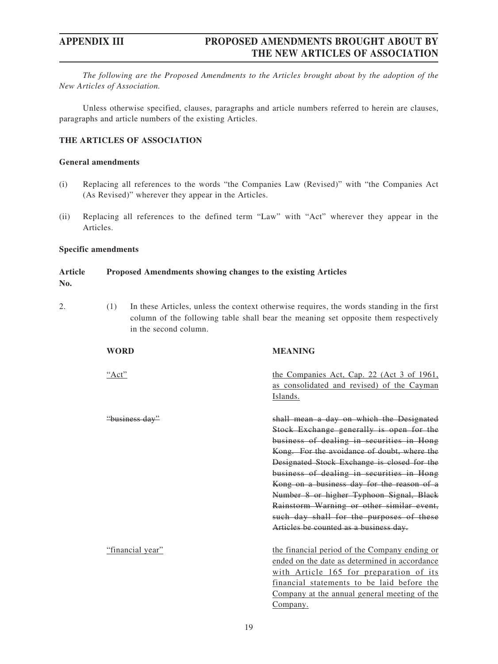*The following are the Proposed Amendments to the Articles brought about by the adoption of the New Articles of Association.*

Unless otherwise specified, clauses, paragraphs and article numbers referred to herein are clauses, paragraphs and article numbers of the existing Articles.

## **THE ARTICLES OF ASSOCIATION**

### **General amendments**

- (i) Replacing all references to the words "the Companies Law (Revised)" with "the Companies Act (As Revised)" wherever they appear in the Articles.
- (ii) Replacing all references to the defined term "Law" with "Act" wherever they appear in the Articles.

### **Specific amendments**

#### **Article No. Proposed Amendments showing changes to the existing Articles**

- 
- 2. (1) In these Articles, unless the context otherwise requires, the words standing in the first column of the following table shall bear the meaning set opposite them respectively in the second column.

| WORD             | <b>MEANING</b>                                                                                                                                                                                                                                                                                                                                                                                                                                                                                            |
|------------------|-----------------------------------------------------------------------------------------------------------------------------------------------------------------------------------------------------------------------------------------------------------------------------------------------------------------------------------------------------------------------------------------------------------------------------------------------------------------------------------------------------------|
| "Act"            | the Companies Act, Cap. 22 (Act 3 of 1961,<br>as consolidated and revised) of the Cayman<br>Islands.                                                                                                                                                                                                                                                                                                                                                                                                      |
| "business day"   | shall mean a day on which the Designated<br>Stock Exchange generally is open for the<br>business of dealing in securities in Hong<br>Kong. For the avoidance of doubt, where the<br>Designated Stock Exchange is closed for the<br>business of dealing in securities in Hong<br>Kong on a business day for the reason of a<br>Number 8 or higher Typhoon Signal, Black<br>Rainstorm Warning or other similar event,<br>such day shall for the purposes of these<br>Articles be counted as a business day. |
| "financial year" | the financial period of the Company ending or<br>ended on the date as determined in accordance<br>with Article 165 for preparation of its<br>financial statements to be laid before the<br>Company at the annual general meeting of the<br>Company.                                                                                                                                                                                                                                                       |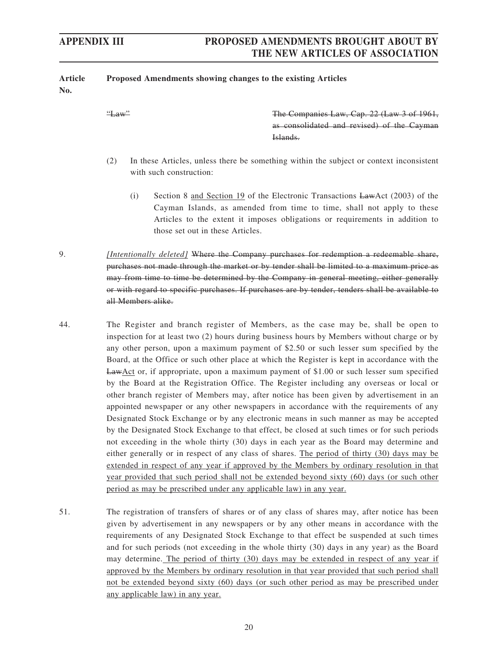| <b>Article</b><br>No. | Proposed Amendments showing changes to the existing Articles |                                                                                                                                                                                                                                                                                                                                                                                                                                                                                                                                                                                                                                                                                                                                                           |
|-----------------------|--------------------------------------------------------------|-----------------------------------------------------------------------------------------------------------------------------------------------------------------------------------------------------------------------------------------------------------------------------------------------------------------------------------------------------------------------------------------------------------------------------------------------------------------------------------------------------------------------------------------------------------------------------------------------------------------------------------------------------------------------------------------------------------------------------------------------------------|
|                       | $H_{\text{aw}}$                                              | The Companies Law, Cap. 22 (Law 3 of 1961,<br>as consolidated and revised) of the Cayman<br>Islands.                                                                                                                                                                                                                                                                                                                                                                                                                                                                                                                                                                                                                                                      |
|                       | (2)<br>with such construction:                               | In these Articles, unless there be something within the subject or context inconsistent                                                                                                                                                                                                                                                                                                                                                                                                                                                                                                                                                                                                                                                                   |
|                       | (i)<br>those set out in these Articles.                      | Section 8 and Section 19 of the Electronic Transactions LawAct (2003) of the<br>Cayman Islands, as amended from time to time, shall not apply to these<br>Articles to the extent it imposes obligations or requirements in addition to                                                                                                                                                                                                                                                                                                                                                                                                                                                                                                                    |
| 9.                    | all Members alike.                                           | [Intentionally deleted] Where the Company purchases for redemption a redeemable share,<br>purchases not made through the market or by tender shall be limited to a maximum price as<br>may from time to time be determined by the Company in general meeting, either generally<br>or with regard to specific purchases. If purchases are by tender, tenders shall be available to                                                                                                                                                                                                                                                                                                                                                                         |
| 44.                   |                                                              | The Register and branch register of Members, as the case may be, shall be open to<br>inspection for at least two (2) hours during business hours by Members without charge or by<br>any other person, upon a maximum payment of \$2.50 or such lesser sum specified by the<br>Board, at the Office or such other place at which the Register is kept in accordance with the<br>LawAct or, if appropriate, upon a maximum payment of \$1.00 or such lesser sum specified<br>by the Board at the Registration Office. The Register including any overseas or local or<br>other branch register of Members may, after notice has been given by advertisement in an<br>appointed newspaper or any other newspapers in accordance with the requirements of any |

51. The registration of transfers of shares or of any class of shares may, after notice has been given by advertisement in any newspapers or by any other means in accordance with the requirements of any Designated Stock Exchange to that effect be suspended at such times and for such periods (not exceeding in the whole thirty (30) days in any year) as the Board may determine. The period of thirty (30) days may be extended in respect of any year if approved by the Members by ordinary resolution in that year provided that such period shall not be extended beyond sixty (60) days (or such other period as may be prescribed under any applicable law) in any year.

period as may be prescribed under any applicable law) in any year.

Designated Stock Exchange or by any electronic means in such manner as may be accepted by the Designated Stock Exchange to that effect, be closed at such times or for such periods not exceeding in the whole thirty (30) days in each year as the Board may determine and either generally or in respect of any class of shares. The period of thirty (30) days may be extended in respect of any year if approved by the Members by ordinary resolution in that year provided that such period shall not be extended beyond sixty (60) days (or such other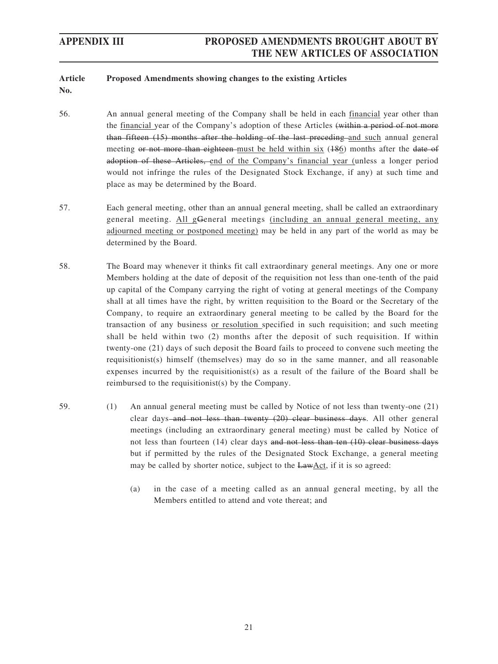#### **Article Proposed Amendments showing changes to the existing Articles**

- **No.**
- 56. An annual general meeting of the Company shall be held in each financial year other than the financial year of the Company's adoption of these Articles (within a period of not more than fifteen (15) months after the holding of the last preceding and such annual general meeting or not more than eighteen must be held within six (186) months after the date of adoption of these Articles, end of the Company's financial year (unless a longer period would not infringe the rules of the Designated Stock Exchange, if any) at such time and place as may be determined by the Board.
- 57. Each general meeting, other than an annual general meeting, shall be called an extraordinary general meeting. All gGeneral meetings (including an annual general meeting, any adjourned meeting or postponed meeting) may be held in any part of the world as may be determined by the Board.
- 58. The Board may whenever it thinks fit call extraordinary general meetings. Any one or more Members holding at the date of deposit of the requisition not less than one-tenth of the paid up capital of the Company carrying the right of voting at general meetings of the Company shall at all times have the right, by written requisition to the Board or the Secretary of the Company, to require an extraordinary general meeting to be called by the Board for the transaction of any business or resolution specified in such requisition; and such meeting shall be held within two (2) months after the deposit of such requisition. If within twenty-one (21) days of such deposit the Board fails to proceed to convene such meeting the requisitionist(s) himself (themselves) may do so in the same manner, and all reasonable expenses incurred by the requisitionist(s) as a result of the failure of the Board shall be reimbursed to the requisitionist(s) by the Company.
- 59. (1) An annual general meeting must be called by Notice of not less than twenty-one (21) clear days and not less than twenty (20) clear business days. All other general meetings (including an extraordinary general meeting) must be called by Notice of not less than fourteen (14) clear days and not less than ten (10) clear business days but if permitted by the rules of the Designated Stock Exchange, a general meeting may be called by shorter notice, subject to the LawAct, if it is so agreed:
	- (a) in the case of a meeting called as an annual general meeting, by all the Members entitled to attend and vote thereat; and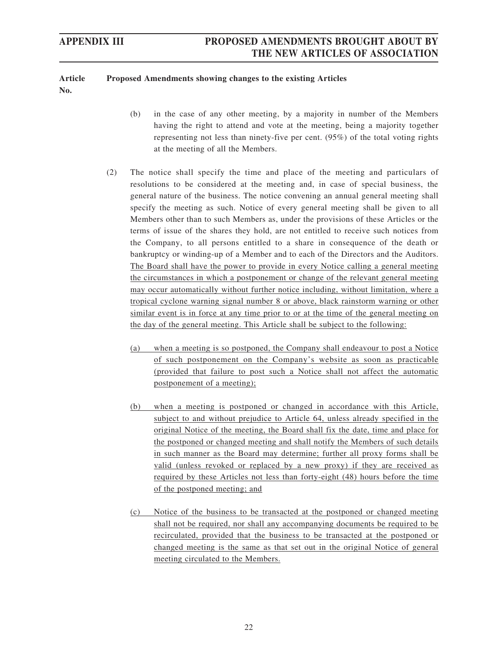#### **Article Proposed Amendments showing changes to the existing Articles**

**No.**

- (b) in the case of any other meeting, by a majority in number of the Members having the right to attend and vote at the meeting, being a majority together representing not less than ninety-five per cent. (95%) of the total voting rights at the meeting of all the Members.
- (2) The notice shall specify the time and place of the meeting and particulars of resolutions to be considered at the meeting and, in case of special business, the general nature of the business. The notice convening an annual general meeting shall specify the meeting as such. Notice of every general meeting shall be given to all Members other than to such Members as, under the provisions of these Articles or the terms of issue of the shares they hold, are not entitled to receive such notices from the Company, to all persons entitled to a share in consequence of the death or bankruptcy or winding-up of a Member and to each of the Directors and the Auditors. The Board shall have the power to provide in every Notice calling a general meeting the circumstances in which a postponement or change of the relevant general meeting may occur automatically without further notice including, without limitation, where a tropical cyclone warning signal number 8 or above, black rainstorm warning or other similar event is in force at any time prior to or at the time of the general meeting on the day of the general meeting. This Article shall be subject to the following:
	- (a) when a meeting is so postponed, the Company shall endeavour to post a Notice of such postponement on the Company's website as soon as practicable (provided that failure to post such a Notice shall not affect the automatic postponement of a meeting);
	- (b) when a meeting is postponed or changed in accordance with this Article, subject to and without prejudice to Article 64, unless already specified in the original Notice of the meeting, the Board shall fix the date, time and place for the postponed or changed meeting and shall notify the Members of such details in such manner as the Board may determine; further all proxy forms shall be valid (unless revoked or replaced by a new proxy) if they are received as required by these Articles not less than forty-eight (48) hours before the time of the postponed meeting; and
	- (c) Notice of the business to be transacted at the postponed or changed meeting shall not be required, nor shall any accompanying documents be required to be recirculated, provided that the business to be transacted at the postponed or changed meeting is the same as that set out in the original Notice of general meeting circulated to the Members.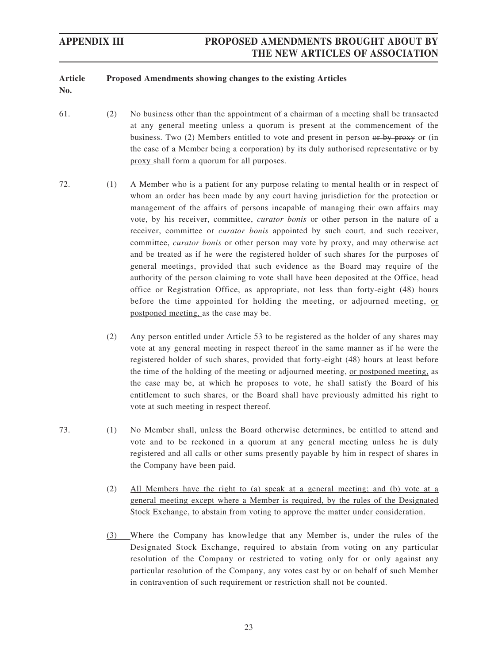#### **Article Proposed Amendments showing changes to the existing Articles**

- **No.**
- 61. (2) No business other than the appointment of a chairman of a meeting shall be transacted at any general meeting unless a quorum is present at the commencement of the business. Two (2) Members entitled to vote and present in person or by proxy or (in the case of a Member being a corporation) by its duly authorised representative or by proxy shall form a quorum for all purposes.
- 72. (1) A Member who is a patient for any purpose relating to mental health or in respect of whom an order has been made by any court having jurisdiction for the protection or management of the affairs of persons incapable of managing their own affairs may vote, by his receiver, committee, *curator bonis* or other person in the nature of a receiver, committee or *curator bonis* appointed by such court, and such receiver, committee, *curator bonis* or other person may vote by proxy, and may otherwise act and be treated as if he were the registered holder of such shares for the purposes of general meetings, provided that such evidence as the Board may require of the authority of the person claiming to vote shall have been deposited at the Office, head office or Registration Office, as appropriate, not less than forty-eight (48) hours before the time appointed for holding the meeting, or adjourned meeting, or postponed meeting, as the case may be.
	- (2) Any person entitled under Article 53 to be registered as the holder of any shares may vote at any general meeting in respect thereof in the same manner as if he were the registered holder of such shares, provided that forty-eight (48) hours at least before the time of the holding of the meeting or adjourned meeting, or postponed meeting, as the case may be, at which he proposes to vote, he shall satisfy the Board of his entitlement to such shares, or the Board shall have previously admitted his right to vote at such meeting in respect thereof.
- 73. (1) No Member shall, unless the Board otherwise determines, be entitled to attend and vote and to be reckoned in a quorum at any general meeting unless he is duly registered and all calls or other sums presently payable by him in respect of shares in the Company have been paid.
	- (2) All Members have the right to (a) speak at a general meeting; and (b) vote at a general meeting except where a Member is required, by the rules of the Designated Stock Exchange, to abstain from voting to approve the matter under consideration.
	- (3) Where the Company has knowledge that any Member is, under the rules of the Designated Stock Exchange, required to abstain from voting on any particular resolution of the Company or restricted to voting only for or only against any particular resolution of the Company, any votes cast by or on behalf of such Member in contravention of such requirement or restriction shall not be counted.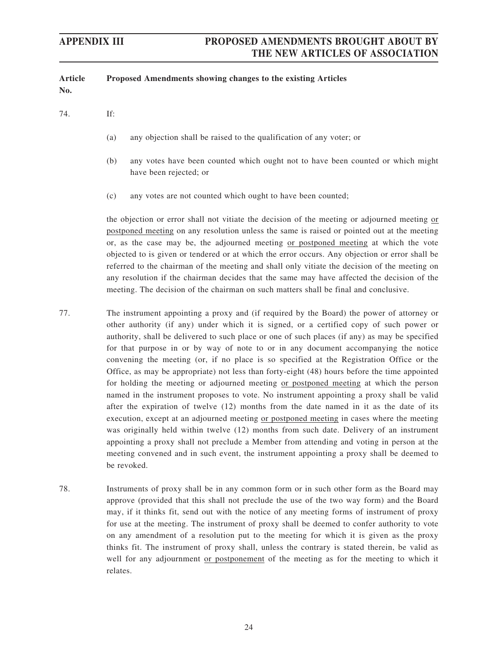| <b>Article</b><br>No. | Proposed Amendments showing changes to the existing Articles                                                                                                                                                                                                                                                                                                                                                                                                                                                                                                                                                                                                                 |
|-----------------------|------------------------------------------------------------------------------------------------------------------------------------------------------------------------------------------------------------------------------------------------------------------------------------------------------------------------------------------------------------------------------------------------------------------------------------------------------------------------------------------------------------------------------------------------------------------------------------------------------------------------------------------------------------------------------|
| 74.                   | If:                                                                                                                                                                                                                                                                                                                                                                                                                                                                                                                                                                                                                                                                          |
|                       | any objection shall be raised to the qualification of any voter; or<br>(a)                                                                                                                                                                                                                                                                                                                                                                                                                                                                                                                                                                                                   |
|                       | any votes have been counted which ought not to have been counted or which might<br>(b)<br>have been rejected; or                                                                                                                                                                                                                                                                                                                                                                                                                                                                                                                                                             |
|                       | any votes are not counted which ought to have been counted;<br>(c)                                                                                                                                                                                                                                                                                                                                                                                                                                                                                                                                                                                                           |
|                       | the objection or error shall not vitiate the decision of the meeting or adjourned meeting or<br>postponed meeting on any resolution unless the same is raised or pointed out at the meeting<br>or, as the case may be, the adjourned meeting or postponed meeting at which the vote<br>objected to is given or tendered or at which the error occurs. Any objection or error shall be<br>referred to the chairman of the meeting and shall only vitiate the decision of the meeting on<br>any resolution if the chairman decides that the same may have affected the decision of the<br>meeting. The decision of the chairman on such matters shall be final and conclusive. |
| 77.                   | The instrument appointing a proxy and (if required by the Board) the power of attorney or<br>other authority (if any) under which it is signed, or a certified copy of such power or<br>authority, shall be delivered to such place or one of such places (if any) as may be specified<br>for that purpose in or by way of note to or in any document accompanying the notice<br>convening the meeting (or, if no place is so specified at the Registration Office or the<br>Office, as may be appropriate) not less than forty-eight (48) hours before the time appointed<br>for holding the meeting or adjourned meeting or postponed meeting at which the person          |

- named in the instrument proposes to vote. No instrument appointing a proxy shall be valid after the expiration of twelve (12) months from the date named in it as the date of its execution, except at an adjourned meeting or postponed meeting in cases where the meeting was originally held within twelve (12) months from such date. Delivery of an instrument appointing a proxy shall not preclude a Member from attending and voting in person at the meeting convened and in such event, the instrument appointing a proxy shall be deemed to be revoked.
- 78. Instruments of proxy shall be in any common form or in such other form as the Board may approve (provided that this shall not preclude the use of the two way form) and the Board may, if it thinks fit, send out with the notice of any meeting forms of instrument of proxy for use at the meeting. The instrument of proxy shall be deemed to confer authority to vote on any amendment of a resolution put to the meeting for which it is given as the proxy thinks fit. The instrument of proxy shall, unless the contrary is stated therein, be valid as well for any adjournment or postponement of the meeting as for the meeting to which it relates.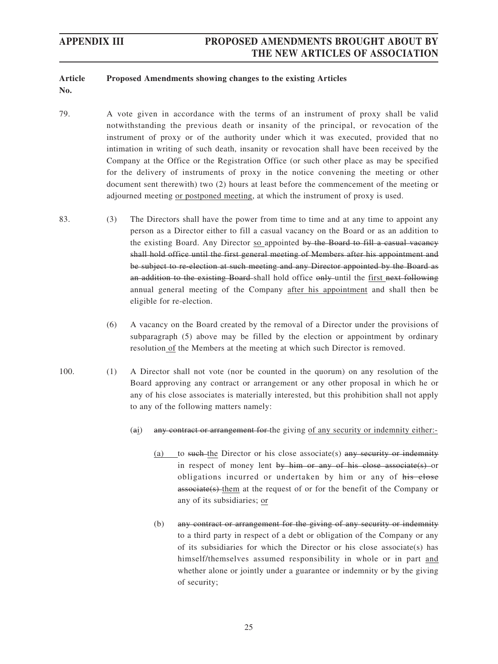#### **Article No. Proposed Amendments showing changes to the existing Articles**

- 79. A vote given in accordance with the terms of an instrument of proxy shall be valid notwithstanding the previous death or insanity of the principal, or revocation of the instrument of proxy or of the authority under which it was executed, provided that no intimation in writing of such death, insanity or revocation shall have been received by the Company at the Office or the Registration Office (or such other place as may be specified for the delivery of instruments of proxy in the notice convening the meeting or other document sent therewith) two (2) hours at least before the commencement of the meeting or adjourned meeting or postponed meeting, at which the instrument of proxy is used.
- 83. (3) The Directors shall have the power from time to time and at any time to appoint any person as a Director either to fill a casual vacancy on the Board or as an addition to the existing Board. Any Director so appointed by the Board to fill a casual vacancy shall hold office until the first general meeting of Members after his appointment and be subject to re-election at such meeting and any Director appointed by the Board as an addition to the existing Board-shall hold office only until the first next following annual general meeting of the Company after his appointment and shall then be eligible for re-election.
	- (6) A vacancy on the Board created by the removal of a Director under the provisions of subparagraph (5) above may be filled by the election or appointment by ordinary resolution of the Members at the meeting at which such Director is removed.
- 100. (1) A Director shall not vote (nor be counted in the quorum) on any resolution of the Board approving any contract or arrangement or any other proposal in which he or any of his close associates is materially interested, but this prohibition shall not apply to any of the following matters namely:
	- (ai) any contract or arrangement for the giving of any security or indemnity either:-
		- (a) to such the Director or his close associate(s) any security or indemnity in respect of money lent by him or any of his close associate(s) or obligations incurred or undertaken by him or any of his close associate(s) them at the request of or for the benefit of the Company or any of its subsidiaries; or
		- (b) any contract or arrangement for the giving of any security or indemnity to a third party in respect of a debt or obligation of the Company or any of its subsidiaries for which the Director or his close associate(s) has himself/themselves assumed responsibility in whole or in part and whether alone or jointly under a guarantee or indemnity or by the giving of security;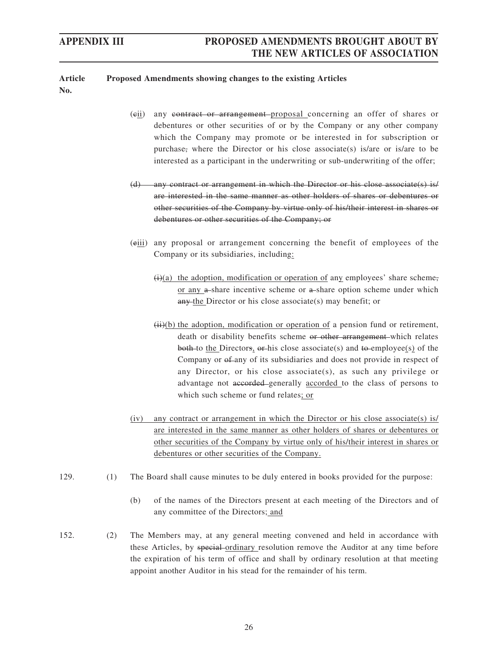#### **Article No. Proposed Amendments showing changes to the existing Articles**

- (cii) any contract or arrangement proposal concerning an offer of shares or debentures or other securities of or by the Company or any other company which the Company may promote or be interested in for subscription or purchase, where the Director or his close associate(s) is/are or is/are to be interested as a participant in the underwriting or sub-underwriting of the offer;
- (d) any contract or arrangement in which the Director or his close associate(s) is/ are interested in the same manner as other holders of shares or debentures or other securities of the Company by virtue only of his/their interest in shares or debentures or other securities of the Company; or
- (eiii) any proposal or arrangement concerning the benefit of employees of the Company or its subsidiaries, including:
	- $(i)(a)$  the adoption, modification or operation of any employees' share scheme, or any a-share incentive scheme or a-share option scheme under which any the Director or his close associate(s) may benefit; or
	- $(ii)(b)$  the adoption, modification or operation of a pension fund or retirement, death or disability benefits scheme or other arrangement which relates both to the Directors,  $\theta$ -his close associate(s) and  $\theta$ -employee(s) of the Company or  $\theta$ -any of its subsidiaries and does not provide in respect of any Director, or his close associate(s), as such any privilege or advantage not accorded generally accorded to the class of persons to which such scheme or fund relates; or
- $(iv)$  any contract or arrangement in which the Director or his close associate(s) is/ are interested in the same manner as other holders of shares or debentures or other securities of the Company by virtue only of his/their interest in shares or debentures or other securities of the Company.
- 129. (1) The Board shall cause minutes to be duly entered in books provided for the purpose:
	- (b) of the names of the Directors present at each meeting of the Directors and of any committee of the Directors; and
- 152. (2) The Members may, at any general meeting convened and held in accordance with these Articles, by special ordinary resolution remove the Auditor at any time before the expiration of his term of office and shall by ordinary resolution at that meeting appoint another Auditor in his stead for the remainder of his term.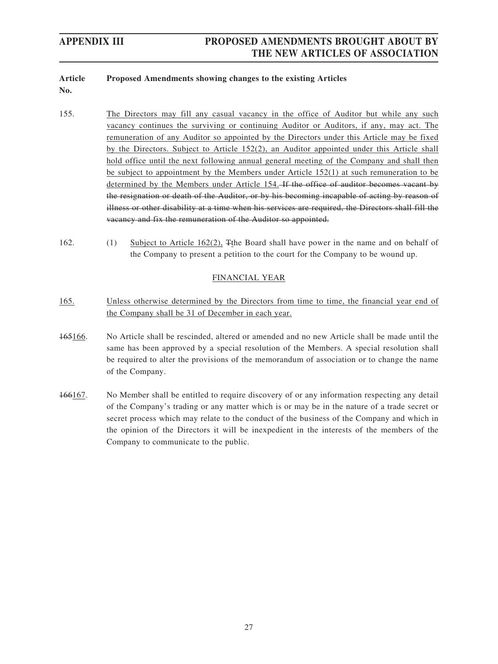#### **Article Proposed Amendments showing changes to the existing Articles**

- **No.**
- 155. The Directors may fill any casual vacancy in the office of Auditor but while any such vacancy continues the surviving or continuing Auditor or Auditors, if any, may act. The remuneration of any Auditor so appointed by the Directors under this Article may be fixed by the Directors. Subject to Article 152(2), an Auditor appointed under this Article shall hold office until the next following annual general meeting of the Company and shall then be subject to appointment by the Members under Article 152(1) at such remuneration to be determined by the Members under Article 154. If the office of auditor becomes vacant by the resignation or death of the Auditor, or by his becoming incapable of acting by reason of illness or other disability at a time when his services are required, the Directors shall fill the vacancy and fix the remuneration of the Auditor so appointed.
- 162. (1) Subject to Article 162(2), Tthe Board shall have power in the name and on behalf of the Company to present a petition to the court for the Company to be wound up.

## FINANCIAL YEAR

- 165. Unless otherwise determined by the Directors from time to time, the financial year end of the Company shall be 31 of December in each year.
- 165166. No Article shall be rescinded, altered or amended and no new Article shall be made until the same has been approved by a special resolution of the Members. A special resolution shall be required to alter the provisions of the memorandum of association or to change the name of the Company.
- 166167. No Member shall be entitled to require discovery of or any information respecting any detail of the Company's trading or any matter which is or may be in the nature of a trade secret or secret process which may relate to the conduct of the business of the Company and which in the opinion of the Directors it will be inexpedient in the interests of the members of the Company to communicate to the public.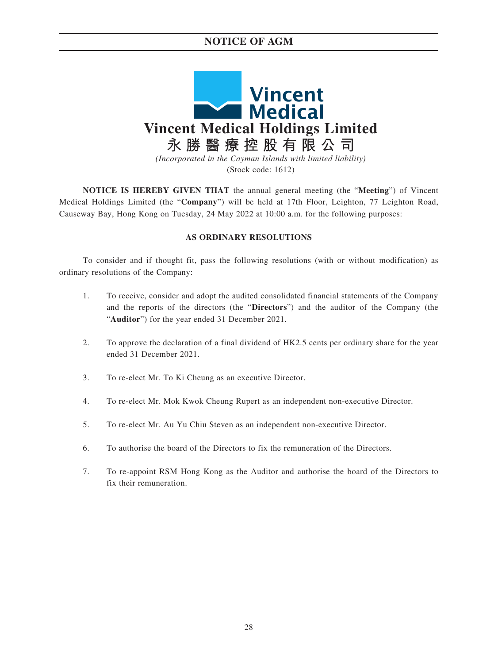## **NOTICE OF AGM**



**NOTICE IS HEREBY GIVEN THAT** the annual general meeting (the "**Meeting**") of Vincent Medical Holdings Limited (the "**Company**") will be held at 17th Floor, Leighton, 77 Leighton Road, Causeway Bay, Hong Kong on Tuesday, 24 May 2022 at 10:00 a.m. for the following purposes:

### **AS ORDINARY RESOLUTIONS**

To consider and if thought fit, pass the following resolutions (with or without modification) as ordinary resolutions of the Company:

- 1. To receive, consider and adopt the audited consolidated financial statements of the Company and the reports of the directors (the "**Directors**") and the auditor of the Company (the "**Auditor**") for the year ended 31 December 2021.
- 2. To approve the declaration of a final dividend of HK2.5 cents per ordinary share for the year ended 31 December 2021.
- 3. To re-elect Mr. To Ki Cheung as an executive Director.
- 4. To re-elect Mr. Mok Kwok Cheung Rupert as an independent non-executive Director.
- 5. To re-elect Mr. Au Yu Chiu Steven as an independent non-executive Director.
- 6. To authorise the board of the Directors to fix the remuneration of the Directors.
- 7. To re-appoint RSM Hong Kong as the Auditor and authorise the board of the Directors to fix their remuneration.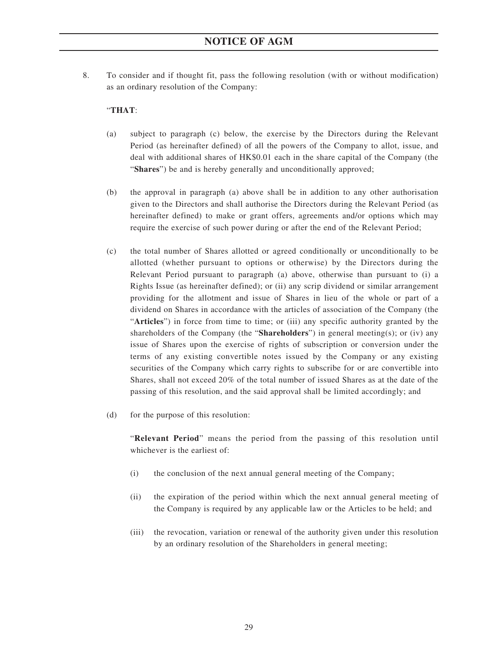8. To consider and if thought fit, pass the following resolution (with or without modification) as an ordinary resolution of the Company:

## "**THAT**:

- (a) subject to paragraph (c) below, the exercise by the Directors during the Relevant Period (as hereinafter defined) of all the powers of the Company to allot, issue, and deal with additional shares of HK\$0.01 each in the share capital of the Company (the "**Shares**") be and is hereby generally and unconditionally approved;
- (b) the approval in paragraph (a) above shall be in addition to any other authorisation given to the Directors and shall authorise the Directors during the Relevant Period (as hereinafter defined) to make or grant offers, agreements and/or options which may require the exercise of such power during or after the end of the Relevant Period;
- (c) the total number of Shares allotted or agreed conditionally or unconditionally to be allotted (whether pursuant to options or otherwise) by the Directors during the Relevant Period pursuant to paragraph (a) above, otherwise than pursuant to (i) a Rights Issue (as hereinafter defined); or (ii) any scrip dividend or similar arrangement providing for the allotment and issue of Shares in lieu of the whole or part of a dividend on Shares in accordance with the articles of association of the Company (the "**Articles**") in force from time to time; or (iii) any specific authority granted by the shareholders of the Company (the "**Shareholders**") in general meeting(s); or (iv) any issue of Shares upon the exercise of rights of subscription or conversion under the terms of any existing convertible notes issued by the Company or any existing securities of the Company which carry rights to subscribe for or are convertible into Shares, shall not exceed 20% of the total number of issued Shares as at the date of the passing of this resolution, and the said approval shall be limited accordingly; and
- (d) for the purpose of this resolution:

"**Relevant Period**" means the period from the passing of this resolution until whichever is the earliest of:

- (i) the conclusion of the next annual general meeting of the Company;
- (ii) the expiration of the period within which the next annual general meeting of the Company is required by any applicable law or the Articles to be held; and
- (iii) the revocation, variation or renewal of the authority given under this resolution by an ordinary resolution of the Shareholders in general meeting;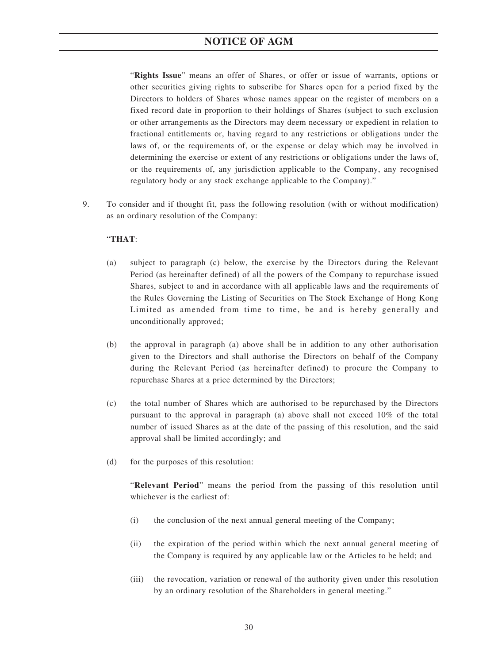## **NOTICE OF AGM**

"**Rights Issue**" means an offer of Shares, or offer or issue of warrants, options or other securities giving rights to subscribe for Shares open for a period fixed by the Directors to holders of Shares whose names appear on the register of members on a fixed record date in proportion to their holdings of Shares (subject to such exclusion or other arrangements as the Directors may deem necessary or expedient in relation to fractional entitlements or, having regard to any restrictions or obligations under the laws of, or the requirements of, or the expense or delay which may be involved in determining the exercise or extent of any restrictions or obligations under the laws of, or the requirements of, any jurisdiction applicable to the Company, any recognised regulatory body or any stock exchange applicable to the Company)."

9. To consider and if thought fit, pass the following resolution (with or without modification) as an ordinary resolution of the Company:

### "**THAT**:

- (a) subject to paragraph (c) below, the exercise by the Directors during the Relevant Period (as hereinafter defined) of all the powers of the Company to repurchase issued Shares, subject to and in accordance with all applicable laws and the requirements of the Rules Governing the Listing of Securities on The Stock Exchange of Hong Kong Limited as amended from time to time, be and is hereby generally and unconditionally approved;
- (b) the approval in paragraph (a) above shall be in addition to any other authorisation given to the Directors and shall authorise the Directors on behalf of the Company during the Relevant Period (as hereinafter defined) to procure the Company to repurchase Shares at a price determined by the Directors;
- (c) the total number of Shares which are authorised to be repurchased by the Directors pursuant to the approval in paragraph (a) above shall not exceed 10% of the total number of issued Shares as at the date of the passing of this resolution, and the said approval shall be limited accordingly; and
- (d) for the purposes of this resolution:

"**Relevant Period**" means the period from the passing of this resolution until whichever is the earliest of:

- (i) the conclusion of the next annual general meeting of the Company;
- (ii) the expiration of the period within which the next annual general meeting of the Company is required by any applicable law or the Articles to be held; and
- (iii) the revocation, variation or renewal of the authority given under this resolution by an ordinary resolution of the Shareholders in general meeting."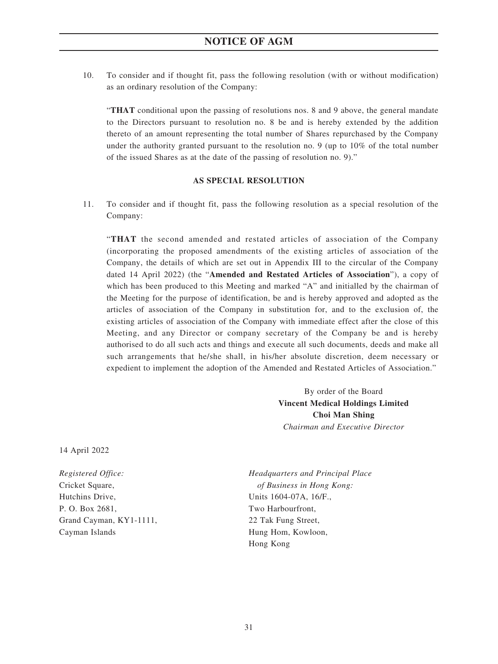10. To consider and if thought fit, pass the following resolution (with or without modification) as an ordinary resolution of the Company:

"**THAT** conditional upon the passing of resolutions nos. 8 and 9 above, the general mandate to the Directors pursuant to resolution no. 8 be and is hereby extended by the addition thereto of an amount representing the total number of Shares repurchased by the Company under the authority granted pursuant to the resolution no. 9 (up to 10% of the total number of the issued Shares as at the date of the passing of resolution no. 9)."

### **AS SPECIAL RESOLUTION**

11. To consider and if thought fit, pass the following resolution as a special resolution of the Company:

"**THAT** the second amended and restated articles of association of the Company (incorporating the proposed amendments of the existing articles of association of the Company, the details of which are set out in Appendix III to the circular of the Company dated 14 April 2022) (the "**Amended and Restated Articles of Association**"), a copy of which has been produced to this Meeting and marked "A" and initialled by the chairman of the Meeting for the purpose of identification, be and is hereby approved and adopted as the articles of association of the Company in substitution for, and to the exclusion of, the existing articles of association of the Company with immediate effect after the close of this Meeting, and any Director or company secretary of the Company be and is hereby authorised to do all such acts and things and execute all such documents, deeds and make all such arrangements that he/she shall, in his/her absolute discretion, deem necessary or expedient to implement the adoption of the Amended and Restated Articles of Association."

> By order of the Board **Vincent Medical Holdings Limited Choi Man Shing** *Chairman and Executive Director*

14 April 2022

*Registered Office:* Cricket Square, Hutchins Drive, P. O. Box 2681, Grand Cayman, KY1-1111, Cayman Islands

*Headquarters and Principal Place of Business in Hong Kong:* Units 1604-07A, 16/F., Two Harbourfront, 22 Tak Fung Street, Hung Hom, Kowloon, Hong Kong